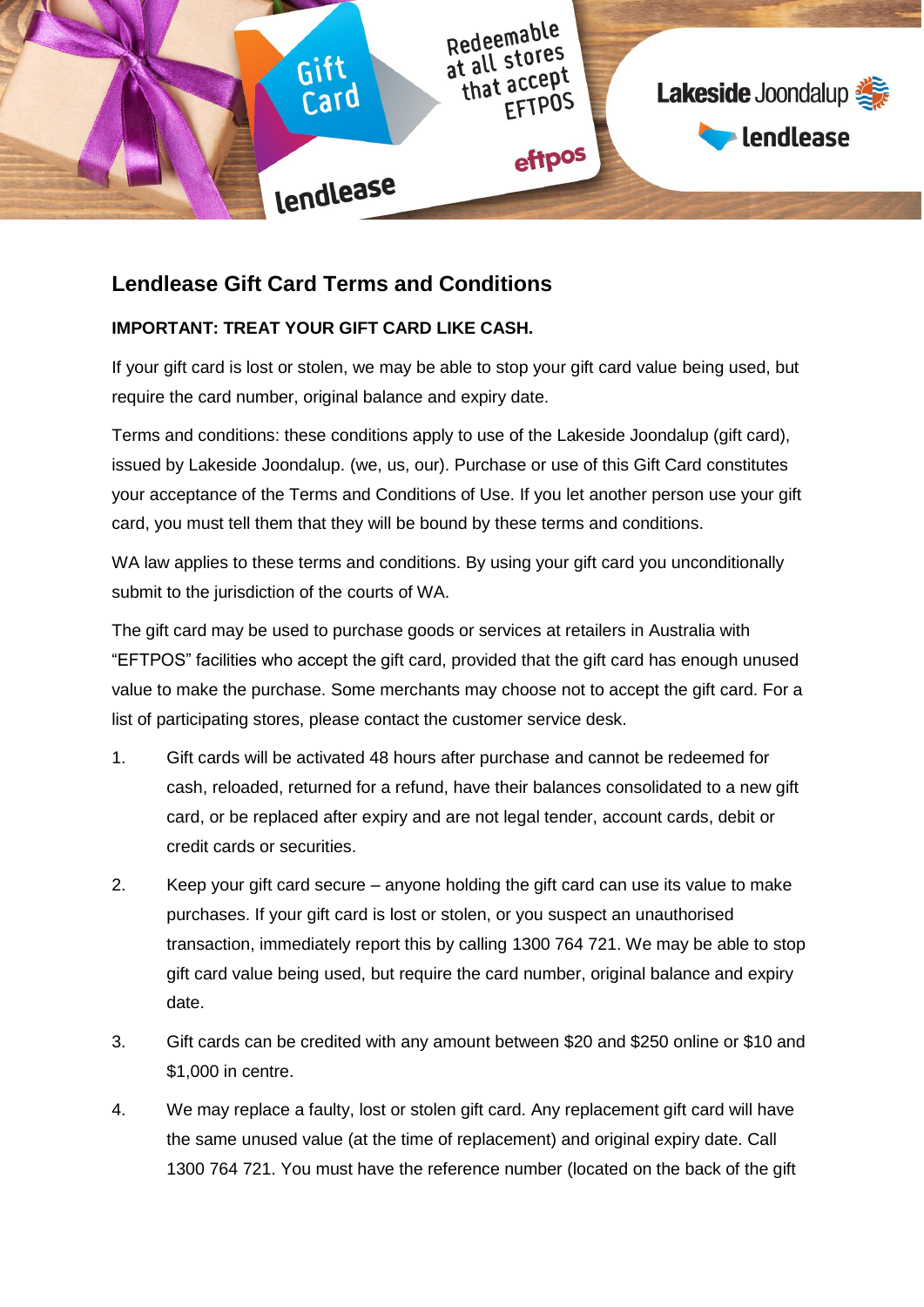

# **Lendlease Gift Card Terms and Conditions**

## **IMPORTANT: TREAT YOUR GIFT CARD LIKE CASH.**

If your gift card is lost or stolen, we may be able to stop your gift card value being used, but require the card number, original balance and expiry date.

Terms and conditions: these conditions apply to use of the Lakeside Joondalup (gift card), issued by Lakeside Joondalup. (we, us, our). Purchase or use of this Gift Card constitutes your acceptance of the Terms and Conditions of Use. If you let another person use your gift card, you must tell them that they will be bound by these terms and conditions.

WA law applies to these terms and conditions. By using your gift card you unconditionally submit to the jurisdiction of the courts of WA.

The gift card may be used to purchase goods or services at retailers in Australia with "EFTPOS" facilities who accept the gift card, provided that the gift card has enough unused value to make the purchase. Some merchants may choose not to accept the gift card. For a list of participating stores, please contact the customer service desk.

- 1. Gift cards will be activated 48 hours after purchase and cannot be redeemed for cash, reloaded, returned for a refund, have their balances consolidated to a new gift card, or be replaced after expiry and are not legal tender, account cards, debit or credit cards or securities.
- 2. Keep your gift card secure anyone holding the gift card can use its value to make purchases. If your gift card is lost or stolen, or you suspect an unauthorised transaction, immediately report this by calling 1300 764 721. We may be able to stop gift card value being used, but require the card number, original balance and expiry date.
- 3. Gift cards can be credited with any amount between \$20 and \$250 online or \$10 and \$1,000 in centre.
- 4. We may replace a faulty, lost or stolen gift card. Any replacement gift card will have the same unused value (at the time of replacement) and original expiry date. Call 1300 764 721. You must have the reference number (located on the back of the gift